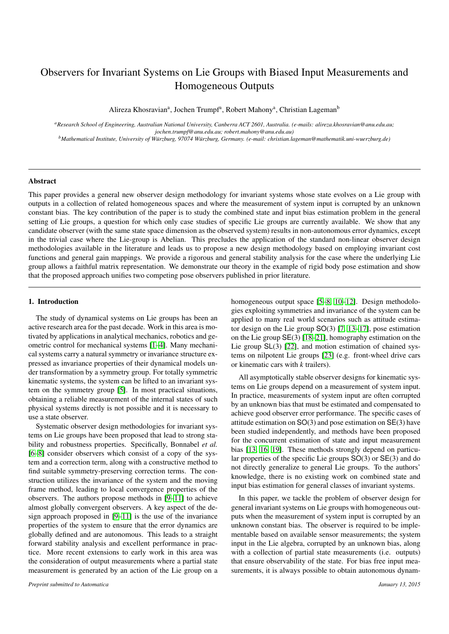# Observers for Invariant Systems on Lie Groups with Biased Input Measurements and Homogeneous Outputs

Alireza Khosravian<sup>a</sup>, Jochen Trumpf<sup>a</sup>, Robert Mahony<sup>a</sup>, Christian Lageman<sup>b</sup>

*<sup>a</sup>Research School of Engineering, Australian National University, Canberra ACT 2601, Australia. (e-mails: alireza.khosravian@anu.edu.au; jochen.trumpf@anu.edu.au; robert.mahony@anu.edu.au)*

*<sup>b</sup>Mathematical Institute, University of W¨urzburg, 97074 W¨urzburg, Germany. (e-mail: christian.lageman@mathematik.uni-wuerzburg.de)*

#### Abstract

This paper provides a general new observer design methodology for invariant systems whose state evolves on a Lie group with outputs in a collection of related homogeneous spaces and where the measurement of system input is corrupted by an unknown constant bias. The key contribution of the paper is to study the combined state and input bias estimation problem in the general setting of Lie groups, a question for which only case studies of specific Lie groups are currently available. We show that any candidate observer (with the same state space dimension as the observed system) results in non-autonomous error dynamics, except in the trivial case where the Lie-group is Abelian. This precludes the application of the standard non-linear observer design methodologies available in the literature and leads us to propose a new design methodology based on employing invariant cost functions and general gain mappings. We provide a rigorous and general stability analysis for the case where the underlying Lie group allows a faithful matrix representation. We demonstrate our theory in the example of rigid body pose estimation and show that the proposed approach unifies two competing pose observers published in prior literature.

#### 1. Introduction

The study of dynamical systems on Lie groups has been an active research area for the past decade. Work in this area is motivated by applications in analytical mechanics, robotics and geometric control for mechanical systems [\[1](#page-7-0)[–4\]](#page-7-1). Many mechanical systems carry a natural symmetry or invariance structure expressed as invariance properties of their dynamical models under transformation by a symmetry group. For totally symmetric kinematic systems, the system can be lifted to an invariant system on the symmetry group [\[5\]](#page-7-2). In most practical situations, obtaining a reliable measurement of the internal states of such physical systems directly is not possible and it is necessary to use a state observer.

Systematic observer design methodologies for invariant systems on Lie groups have been proposed that lead to strong stability and robustness properties. Specifically, Bonnabel *et al.* [\[6–](#page-7-3)[8\]](#page-7-4) consider observers which consist of a copy of the system and a correction term, along with a constructive method to find suitable symmetry-preserving correction terms. The construction utilizes the invariance of the system and the moving frame method, leading to local convergence properties of the observers. The authors propose methods in [\[9](#page-7-5)[–11\]](#page-7-6) to achieve almost globally convergent observers. A key aspect of the design approach proposed in [\[9–](#page-7-5)[11\]](#page-7-6) is the use of the invariance properties of the system to ensure that the error dynamics are globally defined and are autonomous. This leads to a straight forward stability analysis and excellent performance in practice. More recent extensions to early work in this area was the consideration of output measurements where a partial state measurement is generated by an action of the Lie group on a

*Preprint submitted to Automatica January 13, 2015*

homogeneous output space [\[5–](#page-7-2)[8,](#page-7-4) [10–](#page-7-7)[12\]](#page-7-8). Design methodologies exploiting symmetries and invariance of the system can be applied to many real world scenarios such as attitude estimator design on the Lie group SO(3) [\[7,](#page-7-9) [13](#page-7-10)[–17\]](#page-7-11), pose estimation on the Lie group SE(3) [\[18–](#page-7-12)[21\]](#page-7-13), homography estimation on the Lie group SL(3) [\[22\]](#page-7-14), and motion estimation of chained systems on nilpotent Lie groups [\[23\]](#page-7-15) (e.g. front-wheel drive cars or kinematic cars with *k* trailers).

All asymptotically stable observer designs for kinematic systems on Lie groups depend on a measurement of system input. In practice, measurements of system input are often corrupted by an unknown bias that must be estimated and compensated to achieve good observer error performance. The specific cases of attitude estimation on SO(3) and pose estimation on SE(3) have been studied independently, and methods have been proposed for the concurrent estimation of state and input measurement bias [\[13,](#page-7-10) [16,](#page-7-16) [19\]](#page-7-17). These methods strongly depend on particular properties of the specific Lie groups SO(3) or SE(3) and do not directly generalize to general Lie groups. To the authors' knowledge, there is no existing work on combined state and input bias estimation for general classes of invariant systems.

In this paper, we tackle the problem of observer design for general invariant systems on Lie groups with homogeneous outputs when the measurement of system input is corrupted by an unknown constant bias. The observer is required to be implementable based on available sensor measurements; the system input in the Lie algebra, corrupted by an unknown bias, along with a collection of partial state measurements (i.e. outputs) that ensure observability of the state. For bias free input measurements, it is always possible to obtain autonomous dynam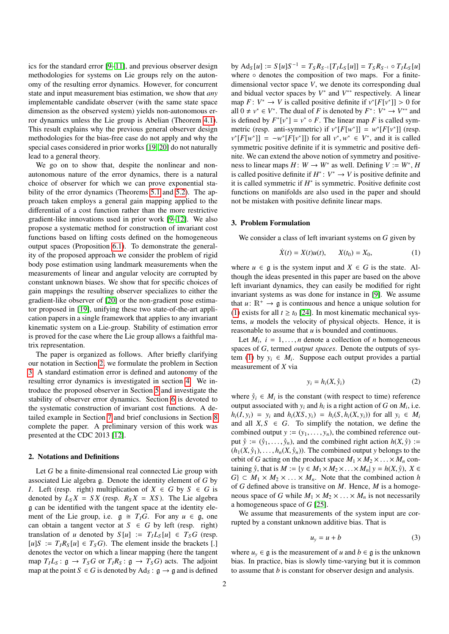ics for the standard error [\[9–](#page-7-5)[11\]](#page-7-6), and previous observer design methodologies for systems on Lie groups rely on the autonomy of the resulting error dynamics. However, for concurrent state and input measurement bias estimation, we show that *any* implementable candidate observer (with the same state space dimension as the observed system) yields non-autonomous error dynamics unless the Lie group is Abelian (Theorem [4.1\)](#page-2-0). This result explains why the previous general observer design methodologies for the bias-free case do not apply and why the special cases considered in prior works [\[19,](#page-7-17) [20\]](#page-7-18) do not naturally lead to a general theory.

We go on to show that, despite the nonlinear and nonautonomous nature of the error dynamics, there is a natural choice of observer for which we can prove exponential stability of the error dynamics (Theorems [5.1](#page-3-0) and [5.2\)](#page-3-1). The approach taken employs a general gain mapping applied to the differential of a cost function rather than the more restrictive gradient-like innovations used in prior work [\[9](#page-7-5)[–12\]](#page-7-8). We also propose a systematic method for construction of invariant cost functions based on lifting costs defined on the homogeneous output spaces (Proposition [6.1\)](#page-4-0). To demonstrate the generality of the proposed approach we consider the problem of rigid body pose estimation using landmark measurements when the measurements of linear and angular velocity are corrupted by constant unknown biases. We show that for specific choices of gain mappings the resulting observer specializes to either the gradient-like observer of [\[20\]](#page-7-18) or the non-gradient pose estimator proposed in [\[19\]](#page-7-17), unifying these two state-of-the-art application papers in a single framework that applies to any invariant kinematic system on a Lie-group. Stability of estimation error is proved for the case where the Lie group allows a faithful matrix representation.

The paper is organized as follows. After briefly clarifying our notation in Section [2,](#page-1-0) we formulate the problem in Section [3.](#page-1-1) A standard estimation error is defined and autonomy of the resulting error dynamics is investigated in section [4.](#page-2-1) We introduce the proposed observer in Section [5](#page-3-2) and investigate the stability of observer error dynamics. Section [6](#page-4-1) is devoted to the systematic construction of invariant cost functions. A detailed example in Section [7](#page-5-0) and brief conclusions in Section [8](#page-7-19) complete the paper. A preliminary version of this work was presented at the CDC 2013 [\[12\]](#page-7-8).

# <span id="page-1-0"></span>2. Notations and Definitions

Let *G* be a finite-dimensional real connected Lie group with associated Lie algebra g. Denote the identity element of *G* by *I*. Left (resp. right) multiplication of  $X \in G$  by  $S \in G$  is denoted by  $L_S X = S X$  (resp.  $R_S X = X S$ ). The Lie algebra g can be identified with the tangent space at the identity element of the Lie group, i.e.  $g \cong T_I G$ . For any  $u \in g$ , one can obtain a tangent vector at  $S \in G$  by left (resp. right) translation of *u* denoted by  $S[u] := T_I L_S[u] \in T_S G$  (resp.  $[u]S := T_I R_S[u] \in T_S G$ . The element inside the brackets [.] denotes the vector on which a linear mapping (here the tangent map  $T_I L_S : \mathfrak{g} \to T_S G$  or  $T_I R_S : \mathfrak{g} \to T_S G$  acts. The adjoint map at the point  $S \in G$  is denoted by  $Ad_S : \mathfrak{g} \to \mathfrak{g}$  and is defined

by  $\text{Ad}_{S}[u] := S[u]S^{-1} = T_{S}R_{S^{-1}}[T_{I}L_{S}[u]] = T_{S}R_{S^{-1}} \circ T_{I}L_{S}[u]$ where ∘ denotes the composition of two maps. For a finitedimensional vector space *V*, we denote its corresponding dual and bidual vector spaces by  $V^*$  and  $V^{**}$  respectively. A linear map  $F: V^* \to V$  is called positive definite if  $v^*[F[v^*]] > 0$  for all  $0 \neq v^* \in V^*$ . The dual of *F* is denoted by  $F^* : V^* \to V^{**}$  and all  $0 \neq v^* \in V^*$ . The dual of *F* is denoted by  $F^* \colon V^* \to V^{**}$  and is defined by  $F^*[v^*] = v^* \circ F$ . The linear map *F* is called symmetric (resp. anti-symmetric) if  $v^*[F[w^*]] = w^*[F[v^*]]$  (resp.  $v^*[F[w^*]] = -w^*[F[v^*]]$ ) for all  $v^*, w^* \in V^*$ , and it is called<br>symmetric positive definite if it is symmetric and positive defisymmetric positive definite if it is symmetric and positive definite. We can extend the above notion of symmetry and positiveness to linear maps  $H: W \to W^*$  as well. Defining  $V := W^*$ , *H* is called positive definite if  $H^*$ :  $V^* \to V$  is positive definite and it is called symmetric if  $H^*$  is symmetric. Positive definite cost functions on manifolds are also used in the paper and should not be mistaken with positive definite linear maps.

#### <span id="page-1-1"></span>3. Problem Formulation

We consider a class of left invariant systems on *G* given by

<span id="page-1-2"></span>
$$
\dot{X}(t) = X(t)u(t), \qquad X(t_0) = X_0,\tag{1}
$$

where  $u \in \mathfrak{g}$  is the system input and  $X \in G$  is the state. Although the ideas presented in this paper are based on the above left invariant dynamics, they can easily be modified for right invariant systems as was done for instance in [\[9\]](#page-7-5). We assume that  $u: \mathbb{R}^+ \to \mathfrak{g}$  is continuous and hence a unique solution for [\(1\)](#page-1-2) exists for all  $t \ge t_0$  [\[24\]](#page-7-20). In most kinematic mechanical systems, *u* models the velocity of physical objects. Hence, it is reasonable to assume that *u* is bounded and continuous.

Let  $M_i$ ,  $i = 1, \ldots, n$  denote a collection of *n* homogeneous<br>aces of *G* termed *output* spaces. Denote the outputs of sysspaces of *G*, termed *output spaces*. Denote the outputs of sys-tem [\(1\)](#page-1-2) by  $y_i \in M_i$ . Suppose each output provides a partial measurement of *X* via

$$
y_i = h_i(X, \mathring{y}_i) \tag{2}
$$

where  $\dot{y}_i \in M_i$  is the constant (with respect to time) reference output associated with  $y_i$  and  $h_i$  is a right action of *G* on  $M_i$ , i.e.  $h_i(I, y_i) = y_i$  and  $h_i(XS, y_i) = h_i(S, h_i(X, y_i))$  for all  $y_i \in M_i$ and all  $X, S \in G$ . To simplify the notation, we define the combined output  $y := (y_1, \ldots, y_n)$ , the combined reference output  $\hat{y} := (\hat{y}_1, \ldots, \hat{y}_n)$ , and the combined right action  $h(X, \hat{y})$  :=  $(h_1(X, \hat{y}_1), \ldots, h_n(X, \hat{y}_n))$ . The combined output *y* belongs to the orbit of *G* acting on the product space  $M_1 \times M_2 \times \ldots \times M_n$  containing  $\hat{y}$ , that is  $M := \{y \in M_1 \times M_2 \times \ldots \times M_n | y = h(X, \hat{y}), X \in$  $G$   $\subset M_1 \times M_2 \times \ldots \times M_n$ . Note that the combined action *h* of *G* defined above is transitive on *M*. Hence, *M* is a homogeneous space of *G* while  $M_1 \times M_2 \times \ldots \times M_n$  is not necessarily a homogeneous space of *G* [\[25\]](#page-7-21).

We assume that measurements of the system input are corrupted by a constant unknown additive bias. That is

<span id="page-1-3"></span>
$$
u_y = u + b \tag{3}
$$

where  $u_y \in \mathfrak{g}$  is the measurement of *u* and  $b \in \mathfrak{g}$  is the unknown bias. In practice, bias is slowly time-varying but it is common to assume that *b* is constant for observer design and analysis.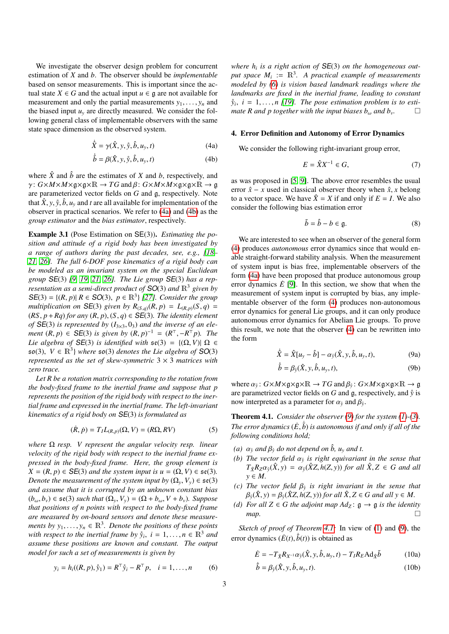We investigate the observer design problem for concurrent estimation of *X* and *b*. The observer should be *implementable* based on sensor measurements. This is important since the actual state *X*  $\in$  *G* and the actual input *u*  $\in$  *g* are not available for measurement and only the partial measurements  $y_1, \ldots, y_n$  and the biased input  $u<sub>y</sub>$  are directly measured. We consider the following general class of implementable observers with the same state space dimension as the observed system.

$$
\dot{\hat{X}} = \gamma(\hat{X}, y, \hat{y}, \hat{b}, u_y, t)
$$
\n(4a)

$$
\dot{\hat{b}} = \beta(\hat{X}, y, \hat{y}, \hat{b}, u_y, t) \tag{4b}
$$

where  $\hat{X}$  and  $\hat{b}$  are the estimates of *X* and *b*, respectively, and  $\gamma$ :  $G \times M \times M \times g \times g \times \mathbb{R} \to TG$  and  $\beta$ :  $G \times M \times M \times g \times g \times \mathbb{R} \to g$ are parameterized vector fields on *G* and g, respectively. Note that  $\hat{X}$ ,  $y$ ,  $\hat{y}$ ,  $\hat{b}$ ,  $u$ <sub>*y*</sub> and *t* are all available for implementation of the observer in practical scenarios. We refer to [\(4a\)](#page-2-2) and [\(4b\)](#page-2-3) as the *group estimator* and the *bias estimator*, respectively.

<span id="page-2-12"></span>Example 3.1 (Pose Estimation on SE(3)). *Estimating the position and attitude of a rigid body has been investigated by a range of authors during the past decades, see, e.g., [\[18–](#page-7-12) [21,](#page-7-13) [26\]](#page-7-22). The full 6-DOF pose kinematics of a rigid body can be modeled as an invariant system on the special Euclidean group* SE(3) *[\[9,](#page-7-5) [19,](#page-7-17) [21,](#page-7-13) [26\]](#page-7-22). The Lie group* SE(3) *has a representation as a semi-direct product of*  $SO(3)$  *and*  $\mathbb{R}^3$  *given by*  $SE(3) = \{(R, p) | R \in SO(3), p \in \mathbb{R}^3\}$  [\[27\]](#page-7-23)*. Consider the group*<br>multiplication on  $SE(3)$  given by  $R_{SC}$   $(R, p) = L_{CS}$   $(S, q) =$ *multiplication on* **SE**(3) *given by*  $R_{(S,q)}(R, p) = L_{(R,p)}(S, q)$  =  $(RS, p + Rq)$  *for any*  $(R, p), (S, q) \in SE(3)$ *. The identity element of*  $SE(3)$  *is represented by*  $(I_{3\times3}, 0_3)$  *and the inverse of an element* (*R*, *p*)  $\in$  **SE**(3) *is given by* (*R*, *p*)<sup>-1</sup> = (*R*<sup>T</sup>, −*R*<sup>T</sup>*p*)*. The*<br>*Lie glashed of* **SE**(3) *is identified with*  $\epsilon e$ (3) − *l*(O V)| O ∈ *Lie algebra of*  $SE(3)$  *is identified with*  $se(3) = \{(\Omega, V) | \Omega \in$  $\mathfrak{so}(3), V \in \mathbb{R}^3$  where  $\mathfrak{so}(3)$  *denotes the Lie algebra of*  $SO(3)$  *represented as the set of skew symmetric*  $3 \times 3$  *matrices with represented as the set of skew-symmetric* 3 × 3 *matrices with zero trace.*

*Let R be a rotation matrix corresponding to the rotation from the body-fixed frame to the inertial frame and suppose that p represents the position of the rigid body with respect to the inertial frame and expressed in the inertial frame. The left-invariant kinematics of a rigid body on* SE(3) *is formulated as*

$$
(\dot{R}, \dot{p}) = T_I L_{(R,p)}(\Omega, V) = (R\Omega, RV)
$$
\n(5)

*where* Ω *resp. V represent the angular velocity resp. linear velocity of the rigid body with respect to the inertial frame expressed in the body-fixed frame. Here, the group element is*  $X = (R, p) \in SE(3)$  *and the system input is*  $u = (\Omega, V) \in \mathfrak{se}(3)$ *. Denote the measurement of the system input by*  $(\Omega_v, V_v) \in \mathfrak{se}(3)$ *and assume that it is corrupted by an unknown constant bias*  $(b<sub>ω</sub>, b<sub>v</sub>) \in \mathfrak{se}(3)$  *such that*  $(\Omega_v, V_v) = (\Omega + b<sub>ω</sub>, V + b<sub>v</sub>)$ *. Suppose that positions of n points with respect to the body-fixed frame are measured by on-board sensors and denote these measurements by*  $y_1, \ldots, y_n \in \mathbb{R}^3$ . *Denote the positions of these points*<br>with respect to the inertial frame by  $\hat{y}_i$ ,  $i = 1, \ldots, n \in \mathbb{R}^3$  and *with respect to the inertial frame by*  $\hat{y}_i$ ,  $i = 1, \ldots, n \in \mathbb{R}^3$  *and assume these positions are known and constant. The output assume these positions are known and constant. The output model for such a set of measurements is given by*

$$
y_i = h_i((R, p), \hat{y}_1) = R^{\top} \hat{y}_i - R^{\top} p, \quad i = 1, ..., n
$$
 (6)

*where h<sup>i</sup> is a right action of* SE(3) *on the homogeneous out*put space  $M_i := \mathbb{R}^3$ . A practical example of measurements *modeled by [\(6\)](#page-2-4) is vision based landmark readings where the landmarks are fixed in the inertial frame, leading to constant*  $\hat{y}_i$ ,  $i = 1, \ldots, n$  [\[19\]](#page-7-17). The pose estimation problem is to estimate R and p together with the input biases h and b *mate R and p together with the input biases*  $b_{\omega}$  *and*  $b_{\nu}$ *.* 

## <span id="page-2-5"></span><span id="page-2-2"></span><span id="page-2-1"></span>4. Error Definition and Autonomy of Error Dynamics

<span id="page-2-3"></span>We consider the following right-invariant group error,

$$
E = \hat{X}X^{-1} \in G,\tag{7}
$$

as was proposed in [\[5,](#page-7-2) [9\]](#page-7-5). The above error resembles the usual error  $\hat{x}$  − *x* used in classical observer theory when  $\hat{x}$ , *x* belong to a vector space. We have  $\hat{X} = X$  if and only if  $E = I$ . We also consider the following bias estimation error

$$
\tilde{b} = \hat{b} - b \in \mathfrak{g}.\tag{8}
$$

We are interested to see when an observer of the general form [\(4\)](#page-2-5) produces *autonomous* error dynamics since that would enable straight-forward stability analysis. When the measurement of system input is bias free, implementable observers of the form [\(4a\)](#page-2-2) have been proposed that produce autonomous group error dynamics  $\dot{E}$  [\[9\]](#page-7-5). In this section, we show that when the measurement of system input is corrupted by bias, any implementable observer of the form [\(4\)](#page-2-5) produces non-autonomous error dynamics for general Lie groups, and it can only produce autonomous error dynamics for Abelian Lie groups. To prove this result, we note that the observer [\(4\)](#page-2-5) can be rewritten into the form

<span id="page-2-6"></span>
$$
\dot{\hat{X}} = \hat{X}[u_y - \hat{b}] - \alpha_{\hat{y}}(\hat{X}, y, \hat{b}, u_y, t),
$$
\n(9a)

<span id="page-2-11"></span>
$$
\dot{\hat{b}} = \beta_{\hat{y}}(\hat{X}, y, \hat{b}, u_y, t), \tag{9b}
$$

where  $\alpha_{\hat{y}}$ :  $G \times M \times g \times g \times \mathbb{R} \to T G$  and  $\beta_{\hat{y}}$ :  $G \times M \times g \times g \times \mathbb{R} \to g$ <br>are parametrized vector fields on G and g, respectively, and  $\hat{y}$  is are parametrized vector fields on *G* and  $\alpha$ , respectively, and  $\hat{y}$  is now interpreted as a parameter for  $\alpha_{\tilde{y}}$  and  $\beta_{\tilde{y}}$ .

<span id="page-2-0"></span>**Theorem 4.1.** *Consider the observer*  $(9)$  *for the system*  $(1)-(3)$  $(1)-(3)$  $(1)-(3)$ *. The error dynamics*  $(\dot{E}, \dot{\tilde{b}})$  *is autonomous if and only if all of the*<br>*following conditions hold: following conditions hold;*

- <span id="page-2-7"></span>*(a)*  $\alpha_{\hat{y}}$  *and*  $\beta_{\hat{y}}$  *do not depend on*  $\hat{b}$ *,*  $u_y$  *and t.*<br>*(b)* The yester field  $\alpha_{\hat{y}}$  is right equivariant
- *(b) The vector field*  $\alpha_{\hat{y}}$  *is right equivariant in the sense that*  $T \circ R_{\alpha}(\hat{Y}, y) = \alpha_{\hat{y}}(\hat{Y}Z, b(Z, y))$  for all  $\hat{Y}Z \in G$  and all  $T_{\hat{X}}R_Z\alpha_{\hat{y}}(\hat{X},y) = \alpha_{\hat{y}}(\hat{X}Z, h(Z, y))$  *for all*  $\hat{X}, Z \in G$  *and all y* ∈ *M.*
- *(c) The vector field*  $\beta_{\hat{y}}$  *is right invariant in the sense that*  $\beta_{\hat{y}}(\hat{X} | y) = \beta_{\hat{y}}(\hat{X}Z | h(Z, y))$  for all  $\hat{X}Z \in G$  and all  $y \in M$  $\beta_{\hat{y}}(\hat{X}, y) = \beta_{\hat{y}}(\hat{X}Z, h(Z, y))$  *for all*  $\hat{X}, Z \in G$  *and all*  $y \in M$ .
- <span id="page-2-8"></span>*(d) For all*  $Z$  ∈ *G the adjoint map*  $Ad_Z$ :  $\mathfrak{g}$  →  $\mathfrak{g}$  *is the identity map.*

<span id="page-2-4"></span>*Sketch of proof of Theorem [4.1:](#page-2-0)* In view of [\(1\)](#page-1-2) and [\(9\)](#page-2-6), the error dynamics  $(\dot{E}(t), \dot{\tilde{b}}(t))$  is obtained as

$$
\dot{E} = -T_{\hat{X}} R_{X^{-1}} \alpha_{\hat{y}}(\hat{X}, y, \hat{b}, u_y, t) - T_I R_E A d_{\hat{X}} \tilde{b}
$$
(10a)

<span id="page-2-10"></span><span id="page-2-9"></span>
$$
\dot{\tilde{b}} = \beta_{\tilde{y}}(\hat{X}, y, \hat{b}, u_y, t). \tag{10b}
$$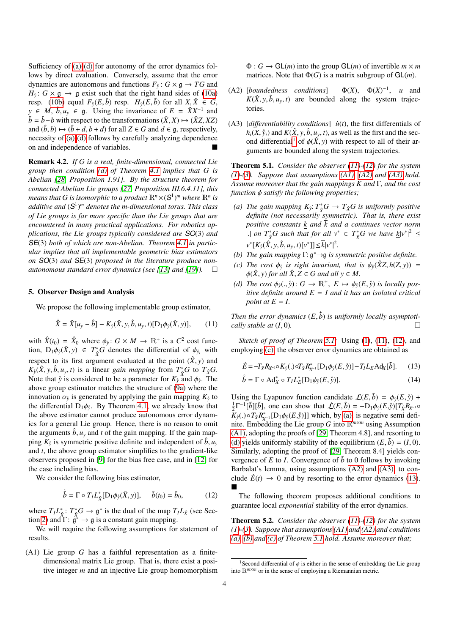Sufficiency of [\(a\)](#page-2-7)[-\(d\)](#page-2-8) for autonomy of the error dynamics follows by direct evaluation. Conversely, assume that the error dynamics are autonomous and functions  $F_{\hat{y}}: G \times \mathfrak{g} \to TG$  and  $H_{\hat{y}}$ :  $G \times \mathfrak{g} \rightarrow \mathfrak{g}$  exist such that the right hand sides of [\(10a\)](#page-2-9) resp. [\(10b\)](#page-2-10) equal  $F_\nu(E, \tilde{b})$  resp.  $H_\nu(E, \tilde{b})$  for all  $X, \hat{X} \in G$ , *y* ∈ *M*,  $\hat{b}$ ,  $u_y$  ∈ g. Using the invariance of *E* =  $\hat{X}X^{-1}$  and  $\tilde{b} - \hat{b} - b$  with respect to the transformations  $(\hat{X}X) \rightarrow (\hat{X}ZX)$  $\tilde{b} = \hat{b} - b$  with respect to the transformations  $(\hat{X}, X) \mapsto (\hat{X}Z, XZ)$ and  $(\hat{b}, b) \mapsto (\hat{b} + d, b + d)$  for all  $Z \in G$  and  $d \in \mathfrak{a}$ , respectively, necessity of [\(a\)](#page-2-7)[-\(d\)](#page-2-8) follows by carefully analyzing dependence on and independence of variables.

Remark 4.2. *If G is a real, finite-dimensional, connected Lie group then condition [\(d\)](#page-2-8) of Theorem [4.1](#page-2-0) implies that G is Abelian [\[28,](#page-7-24) Proposition 1.91]. By the structure theorem for connected Abelian Lie groups [\[27,](#page-7-23) Proposition III.6.4.11], this* means that  $G$  is isomorphic to a product  $\mathbb{R}^n\times (\mathsf{S}^1)^m$  where  $\mathbb{R}^n$  is *additive and* (S 1 ) *<sup>m</sup> denotes the m-dimensional torus. This class of Lie groups is far more specific than the Lie groups that are encountered in many practical applications. For robotics applications, the Lie groups typically considered are* SO(3) *and* SE(3) *both of which are non-Abelian. Theorem [4.1](#page-2-0) in particular implies that all implementable geometric bias estimators on* SO(3) *and* SE(3) *proposed in the literature produce nonautonomous standard error dynamics (see [\[13\]](#page-7-10) and [\[19\]](#page-7-17)).*

#### <span id="page-3-2"></span>5. Observer Design and Analysis

We propose the following implementable group estimator,

$$
\dot{\hat{X}} = \hat{X}[u_{y} - \hat{b}] - K_{\hat{y}}(\hat{X}, y, \hat{b}, u_{y}, t)[D_{1}\phi_{\hat{y}}(\hat{X}, y)], \qquad (11)
$$

with  $\hat{X}(t_0) = \hat{X}_0$  where  $\phi_{\hat{y}}: G \times M \to \mathbb{R}^+$  is a  $C^2$  cost function. Denote  $\hat{X}(y) \in T^*G$  denotes the differential of  $\phi_{\hat{y}}$  with tion,  $D_1\phi_{\hat{y}}(\hat{X}, y) \in T_{\hat{X}}^*G$  denotes the differential of  $\phi_{\hat{y}_i}$  with respect to its first argument evaluated at the point  $(\hat{X}, y)$  and *K*<sub>*y*</sub></sub>( $\hat{X}$ ,  $y$ ,  $\hat{b}$ ,  $u_y$ ,  $t$ ) is a linear *gain mapping* from  $T_A^*G$  to  $T_{\hat{X}}G$ .<br>Note that  $\hat{v}$  is considered to be a parameter for  $K_2$  and  $\phi$ . The Note that  $\hat{y}$  is considered to be a parameter for  $K_{\hat{y}}$  and  $\phi_{\hat{y}}$ . The above group estimator matches the structure of (9a) where the above group estimator matches the structure of [\(9a\)](#page-2-11) where the innovation  $\alpha_{\hat{y}}$  is generated by applying the gain mapping  $K_{\hat{y}}$  to the differential D.  $\phi_{\hat{y}}$  By Theorem 4.1, we already know that the differential  $D_1\phi_{\hat{y}}$ . By Theorem [4.1,](#page-2-0) we already know that the above estimator cannot produce autonomous error dynamthe above estimator cannot produce autonomous error dynamics for a general Lie group. Hence, there is no reason to omit the arguments  $\hat{b}$ ,  $u<sub>y</sub>$  and *t* of the gain mapping. If the gain mapping  $K_{\hat{y}}$  is symmetric positive definite and independent of  $\hat{b}$ ,  $u_y$  and t the above group estimator simplifies to the gradient-like and *t*, the above group estimator simplifies to the gradient-like observers proposed in [\[9\]](#page-7-5) for the bias free case, and in [\[12\]](#page-7-8) for the case including bias.

We consider the following bias estimator,

$$
\dot{\hat{b}} = \Gamma \circ T_I L_{\hat{X}}^* [\mathcal{D}_1 \phi_{\hat{y}}(\hat{X}, y)], \quad \hat{b}(t_0) = \hat{b}_0, \quad (12)
$$

where  $T_I L^*_{\hat{X}}: T^*_{\hat{X}}G \to \mathfrak{g}^*$  is the dual of the map  $T_I L_{\hat{X}}$  (see Sec-tion [2\)](#page-1-0) and  $\Gamma: \hat{\mathfrak{g}}^* \to \mathfrak{g}$  is a constant gain mapping.

We will require the following assumptions for statement of results.

(A1) Lie group *G* has a faithful representation as a finitedimensional matrix Lie group. That is, there exist a positive integer *m* and an injective Lie group homomorphism  $\Phi: G \to \mathsf{GL}(m)$  into the group  $\mathsf{GL}(m)$  of invertible  $m \times m$ matrices. Note that  $\Phi(G)$  is a matrix subgroup of  $GL(m)$ .

- $(A2)$  [*boundedness conditions*]  $u^{-1}$ , *u* and  $K(\hat{X}, y, \hat{b}, u_y, t)$  are bounded along the system trajectories.
- (A3)  $\left[$ *differentiability conditions* $\left[$  $\dot{u}(t)$ *, the first differentials of*  $h_i(X, \hat{y}_i)$  and  $K(\hat{X}, y, \hat{b}, u_y, t)$ , as well as the first and the sec-ond differential<sup>[1](#page-3-3)</sup> of  $\phi(\hat{X}, y)$  with respect to all of their arguments are bounded along the system trajectories.

<span id="page-3-0"></span>Theorem 5.1. *Consider the observer [\(11\)](#page-3-4)-[\(12\)](#page-3-5) for the system [\(1\)](#page-1-2)-[\(3\)](#page-1-3). Suppose that assumptions [\(A1\), \(A2\)](#page-3-5) and [\(A3\)](#page-3-5) hold. Assume moreover that the gain mappings K and* Γ*, and the cost function* φ *satisfy the following properties;*

- <span id="page-3-7"></span>*(a) The gain mapping*  $K_{\hat{y}}$ :  $T_{\hat{X}}^*G \to T_{\hat{X}}G$  *is uniformly positive definite (not necessarily symmetric). That is, there exist positive constants k and*  $\overline{k}$  *and a continues vector norm* |*a I*<sub>∗</sub><sup>\*</sup> $\sqrt{x}$ *G* such that for all  $v^* \in T^*_{\hat{X}}$ *G* we have  $\underline{k}|v^*|^2 \le$ |  $v^* [K_{\hat{y}}(\hat{X}, y, \hat{b}, u_y, t)[v^*]] \leq \overline{k}|v^*|^2$ .<br>The gain mapping  $\Gamma$ :  $\hat{x}^* \rightarrow \hat{z}$  is a |
- <span id="page-3-10"></span>*(b) The gain mapping* Γ: g <sup>∗</sup>→g *is symmetric positive definite.*
- <span id="page-3-6"></span>(c) The cost  $\phi_{\hat{y}}$  is right invariant, that is  $\phi_{\hat{y}}(\hat{X}Z, h(Z, y)) =$ <br>  $\phi(\hat{X} y)$  for all  $\hat{X} Z \in G$  and all  $y \in M$  $\phi(\hat{X}, y)$  *for all*  $\hat{X}, Z \in G$  *and all*  $y \in M$ .
- <span id="page-3-8"></span>*(d) The cost*  $\phi_{\hat{y}}(., \hat{y})$ :  $G \to \mathbb{R}^+, E \mapsto \phi_{\hat{y}}(E, \hat{y})$  *is locally positive definite around*  $E = I$  and *it has an isolated critical itive definite around E* = *I and it has an isolated critical point at*  $E = I$ .

<span id="page-3-4"></span>*Then the error dynamics*  $(\dot{E}, \dot{\tilde{b}})$  *is uniformly locally asymptoti-cally stable at*  $(I, 0)$ *cally stable at*  $(I, 0)$ *.*  $\Box$ 

*Sketch of proof of Theorem [5.1:](#page-3-0)* Using [\(1\)](#page-1-2), [\(11\)](#page-3-4), [\(12\)](#page-3-5), and employing [\(c\),](#page-3-6) the observer error dynamics are obtained as

$$
\dot{E} = -T_{\hat{X}} R_{X^{-1}} \circ K_{\hat{Y}}(.) \circ T_{\hat{X}} R_{X^{-1}}^*[D_1 \phi_{\hat{Y}}(E, \hat{Y})] - T_I L_E A d_X[\tilde{b}].
$$
 (13)

<span id="page-3-11"></span><span id="page-3-9"></span>
$$
\dot{\tilde{b}} = \Gamma \circ \mathrm{Ad}_{X}^{*} \circ T_{I} L_{E}^{*}[\mathrm{D}_{1} \phi_{\hat{y}}(E, \hat{y})]. \tag{14}
$$

Using the Lyapunov function candidate  $\mathcal{L}(E, \tilde{b}) = \phi_{\tilde{v}}(E, \tilde{y}) +$  $\frac{1}{2}\Gamma^{-1}[\tilde{b}][\tilde{b}]$ , one can show that  $\dot{L}(E, \tilde{b}) = -D_1\phi_{\tilde{y}}(E, \tilde{y})[T_{\tilde{X}}R_{X^{-1}}\circ$ <br> $K_{\tilde{b}}(x) \circ T_{\tilde{b}}R_{X^{-1}}\circ$  [D,  $\phi_{\tilde{b}}(E, \tilde{y})$ ]] which by (3) is negative semi-defi- $K_{\hat{y}}(.) \circ T_{\hat{X}} R_{X^{-1}}^*[\mathbf{D}_1 \phi_{\hat{y}}(E, \hat{y})]$ ] which, by [\(a\),](#page-3-7) is negative semi definite. Embedding the Lie group G into  $\mathbb{R}^{m \times m}$  using Assumption nite. Embedding the Lie group *G* into R*m*×*<sup>m</sup>* using Assumption [\(A1\),](#page-3-5) adopting the proofs of [\[29,](#page-7-25) Theorem 4.8], and resorting to [\(d\)](#page-3-8) yields uniformly stability of the equilibrium  $(E, \tilde{b}) = (I, 0)$ . Similarly, adopting the proof of [\[29,](#page-7-25) Theorem 8.4] yields convergence of  $E$  to  $I$ . Convergence of  $\ddot{b}$  to 0 follows by invoking Barbalat's lemma, using assumptions [\(A2\)](#page-3-5) and [\(A3\),](#page-3-5) to conclude  $\dot{E}(t) \rightarrow 0$  and by resorting to the error dynamics [\(13\)](#page-3-9). п

<span id="page-3-5"></span>The following theorem proposes additional conditions to guarantee local *exponential* stability of the error dynamics.

<span id="page-3-1"></span>Theorem 5.2. *Consider the observer [\(11\)](#page-3-4)-[\(12\)](#page-3-5) for the system [\(1\)](#page-1-2)-[\(3\)](#page-1-3). Suppose that assumptions [\(A1\)](#page-3-5) and [\(A2\)](#page-3-5) and conditions [\(a\),](#page-3-7) [\(b\)](#page-3-10) and [\(c\)](#page-3-6) of Theorem [5.1](#page-3-0) hold. Assume moreover that;*

<span id="page-3-3"></span><sup>&</sup>lt;sup>1</sup>Second differential of  $\phi$  is either in the sense of embedding the Lie group into R*m*×*<sup>m</sup>* or in the sense of employing a Riemannian metric.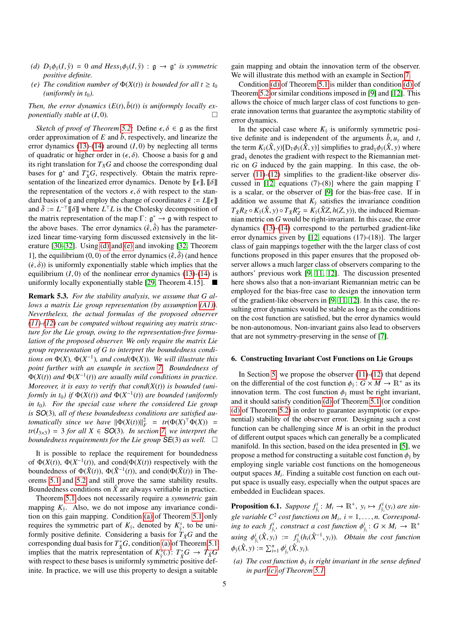- <span id="page-4-2"></span>*(d)*  $D_1\phi_{\hat{y}}(I, \hat{y}) = 0$  *and Hess*<sub>1</sub> $\phi_{\hat{y}}(I, \hat{y}) : \mathfrak{g} \to \mathfrak{g}^*$  *is symmetric nositive definite positive definite.*
- <span id="page-4-3"></span>*(e) The condition number of*  $\Phi(X(t))$  *is bounded for all t*  $\geq t_0$  $(uniformly in t<sub>0</sub>).$

*Then, the error dynamics*  $(E(t), \tilde{b}(t))$  *is uniformply locally ex-*<br>popentially stable at (1,0) *ponentially stable at* (*I*, 0)*.*

*Sketch of proof of Theorem [5.2:](#page-3-1)* Define  $\epsilon, \delta \in \mathfrak{g}$  as the first order approximation of  $E$  and  $\tilde{b}$ , respectively, and linearize the error dynamics  $(13)-(14)$  $(13)-(14)$  $(13)-(14)$  around  $(I, 0)$  by neglecting all terms of quadratic or higher order in  $(\epsilon, \delta)$ . Choose a basis for g and its right translation for  $T_XG$  and choose the corresponding dual bases for  $\mathfrak{g}^*$  and  $T^*_{X}G$ , respectively. Obtain the matrix representation of the linearized error dynamics. Denote by  $[\![\epsilon]\!]$ ,  $[\![\delta]\!]$ the representation of the vectors  $\epsilon$ ,  $\delta$  with respect to the standard basis of g and employ the change of coordinates  $\bar{\epsilon} := L[\![\epsilon]\!]$ and  $\bar{\delta} := L^{-\top}[\![\delta]\!]$  where  $L^{\top}L$  is the Cholesky decomposition of the man  $\Gamma: \sigma^* \to \sigma$  with respect to the matrix representation of the map  $\Gamma: \mathfrak{g}^* \to \mathfrak{g}$  with respect to the above bases. The error dynamics  $(\dot{\vec{\epsilon}}, \dot{\vec{\delta}})$  has the parameter-<br>ized linear time-varying form discussed extensively in the litized linear time-varying form discussed extensively in the literature [\[30](#page-7-26)[–32\]](#page-7-27). Using [\(d\)](#page-4-2) and [\(e\)](#page-4-3) and invoking [\[32,](#page-7-27) Theorem 1], the equilibrium  $(0, 0)$  of the error dynamics  $(\dot{\epsilon}, \dot{\delta})$  (and hence  $(\dot{\epsilon}, \dot{\delta})$ ) is uniformly exponentially stable which implies that the  $(\dot{\epsilon}, \dot{\delta})$ ) is uniformly exponentially stable which implies that the equilibrium  $(I, 0)$  of the nonlinear error dynamics  $(13)-(14)$  $(13)-(14)$  $(13)-(14)$  is uniformly locally exponentially stable [\[29,](#page-7-25) Theorem 4.15].

<span id="page-4-4"></span>Remark 5.3. *For the stability analysis, we assume that G allows a matrix Lie group representation (by assumption [\(A1\)\)](#page-3-5). Nevertheless, the actual formulas of the proposed observer [\(11\)](#page-3-4)-[\(12\)](#page-3-5) can be computed without requiring any matrix structure for the Lie group, owing to the representation-free formulation of the proposed observer. We only require the matrix Lie group representation of G to interpret the boundedness conditions on*  $\Phi(X)$ ,  $\Phi(X^{-1})$ *, and cond*( $\Phi(X)$ )*. We will illustrate this point further with an example in section [7.](#page-5-0) Boundedness of*  $\Phi(X(t))$  and  $\Phi(X^{-1}(t))$  are usually mild conditions in practice. *Moreover, it is easy to verify that cond*(*X*(*t*)) *is bounded (uniformly in t*<sub>0</sub>) *if*  $\Phi(X(t))$  *and*  $\Phi(X^{-1}(t))$  *are bounded (uniformly in t*0*). For the special case where the considered Lie group is* SO(3)*, all of these boundedness conditions are satisfied automatically since we have*  $\|\Phi(X(t))\|_F^2 = tr(\Phi(X)^\top \Phi(X)) =$  $tr(I_{3\times3}) = 3$  *for all*  $X \in SO(3)$ *. In section [7,](#page-5-0) we interpret the boundedness requirements for the Lie group*  $SE(3)$  *as well.*  $\square$ 

It is possible to replace the requirement for boundedness of  $\Phi(X(t))$ ,  $\Phi(X^{-1}(t))$ , and cond( $\Phi(X(t))$ ) respectively with the boundedness of  $\Phi(\hat{X}(t))$ ,  $\Phi(\hat{X}^{-1}(t))$ , and cond( $\Phi(\hat{X}(t))$  in Theorems [5.1](#page-3-0) and [5.2](#page-3-1) and still prove the same stability results. Boundedness conditions on  $\hat{X}$  are always verifiable in practice.

Theorem [5.1](#page-3-0) does not necessarily require a *symmetric* gain mapping  $K_{\hat{y}}$ . Also, we do not impose any invariance condition on this gain mapping. Condition [\(a\)](#page-3-7) of Theorem [5.1](#page-3-0) only requires the symmetric part of  $K_{\hat{y}}$ , denoted by  $K_{\hat{y}}^s$ , to be uniformly positive definite. Considering a basis for  $T_{\hat{X}}G$  and the corresponding dual basis for  $T^*_{\hat{X}}G$ , condition [\(a\)](#page-3-7) of Theorem [5.1](#page-3-0) implies that the matrix representation of  $K_3^s(.)$ :  $T_A^*G \to T_{\hat{X}}G$  with respect to these bases is uniformly symmetric positive defwith respect to these bases is uniformly symmetric positive definite. In practice, we will use this property to design a suitable gain mapping and obtain the innovation term of the observer. We will illustrate this method with an example in Section [7.](#page-5-0)

Condition [\(d\)](#page-3-8) of Theorem [5.1](#page-3-0) is milder than condition [\(d\)](#page-4-2) of Theorem [5.2](#page-3-1) or similar conditions imposed in [\[9\]](#page-7-5) and [\[12\]](#page-7-8). This allows the choice of much larger class of cost functions to generate innovation terms that guarantee the asymptotic stability of error dynamics.

In the special case where  $K_{\hat{y}}$  is uniformly symmetric positive definite and is independent of the arguments  $\hat{b}$ ,  $u<sub>y</sub>$  and *t*, the term  $K_{\hat{y}}(\hat{X}, y)[D_1\phi_{\hat{y}}(\hat{X}, y)]$  simplifies to grad<sub>1</sub> $\phi_{\hat{y}}(\hat{X}, y)$  where  $\text{grad}_1$  denotes the gradient with respect to the Riemannian metric on *G* induced by the gain mapping. In this case, the ob-server [\(11\)](#page-3-4)-[\(12\)](#page-3-5) simplifies to the gradient-like observer dis-cussed in [\[12,](#page-7-8) equations (7)-(8)] where the gain mapping  $\Gamma$ is a scalar, or the observer of [\[9\]](#page-7-5) for the bias-free case. If in addition we assume that  $K_{\hat{y}}$  satisfies the invariance condition  $T_{\hat{X}}R_{Z} \circ K_{\hat{y}}(\hat{X}, y) \circ T_{\hat{X}}R_{Z}^{*} = K_{\hat{y}}(\hat{X}Z, h(Z, y))$ , the induced Rieman-<br>nian metric on G would be right-invariant. In this case, the error nian metric on *G* would be right-invariant. In this case, the error dynamics [\(13\)](#page-3-9)-[\(14\)](#page-3-11) correspond to the perturbed gradient-like error dynamics given by [\[12,](#page-7-8) equations (17)-(18)]. The larger class of gain mappings together with the the larger class of cost functions proposed in this paper ensures that the proposed observer allows a much larger class of observers comparing to the authors' previous work [\[9,](#page-7-5) [11,](#page-7-6) [12\]](#page-7-8). The discussion presented here shows also that a non-invariant Riemannian metric can be employed for the bias-free case to design the innovation term of the gradient-like observers in [\[9,](#page-7-5) [11,](#page-7-6) [12\]](#page-7-8). In this case, the resulting error dynamics would be stable as long as the conditions on the cost function are satisfied, but the error dynamics would be non-autonomous. Non-invariant gains also lead to observers that are not symmetry-preserving in the sense of [\[7\]](#page-7-9).

### <span id="page-4-1"></span>6. Constructing Invariant Cost Functions on Lie Groups

In Section [5,](#page-3-2) we propose the observer  $(11)-(12)$  $(11)-(12)$  $(11)-(12)$  that depend on the differential of the cost function  $\phi_{\hat{y}}: G \times M \to \mathbb{R}^+$  as its innovation term. The cost function  $\phi_{\hat{y}}$  must be right invariant innovation term. The cost function  $\phi$ <sup>*\**</sup> must be right invariant, and it should satisfy condition [\(d\)](#page-3-8) of Theorem [5.1](#page-3-0) (or condition [\(d\)](#page-4-2) of Theorem [5.2\)](#page-3-1) in order to guarantee asymptotic (or exponential) stability of the observer error. Designing such a cost function can be challenging since *M* is an orbit in the product of different output spaces which can generally be a complicated manifold. In this section, based on the idea presented in [\[5\]](#page-7-2), we propose a method for constructing a suitable cost function  $\phi_{\hat{y}}$  by employing single variable cost functions on the homogeneous output spaces  $M_i$ . Finding a suitable cost function on each output space is usually easy, especially when the output spaces are embedded in Euclidean spaces.

<span id="page-4-0"></span>**Proposition 6.1.** *Suppose*  $f_{\hat{y}_i}^i$ :  $M_i \rightarrow \mathbb{R}^+$ ,  $y_i \mapsto f_{\hat{y}_i}^i(y_i)$  are single variable  $C^2$  cost functions on  $M_i$ ,  $i = 1, ..., n$ . Corresponding to each  $f_{\hat{y}_i}^i$ , construct a cost function  $\phi_{\hat{y}_i}^i$ :  $G \times M_i \rightarrow \mathbb{R}^+$  $u \sin g \phi_{\hat{y}_i}^i(\hat{X}, y_i) := f_{\hat{y}_i}^i(h_i(\hat{X}^{-1}, y_i))$ *. Obtain the cost function*  $\phi_{\hat{y}}(\hat{X}, y) := \sum_{i=1}^n \phi_i$  $\hat{y}_i^i(\hat{X}, y_i)$ .

(a) The cost function  $\phi_{\hat{y}}$  is right invariant in the sense defined<br>in part (c) of Theorem 5.1 *in part [\(c\)](#page-3-6) of Theorem [5.1.](#page-3-0)*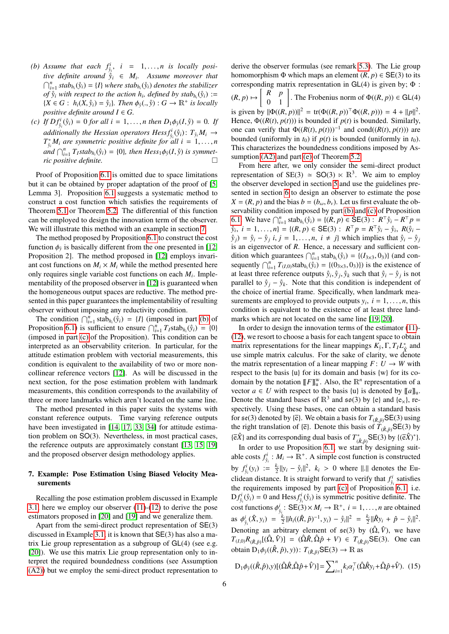- <span id="page-5-1"></span>*(b) Assume that each*  $f_{\hat{y}}^i$ ,  $i = 1, \ldots, n$  *is locally position definite ground*  $\hat{y}_i \in M$  *Assume moreover that tive definite around*  $\hat{y}_i \in M_i$ . Assume moreover that  $\bigcap_{i=1}^n$  *stab*<sub>*hi*</sub>( $\hat{y}_i$ ) = {*I*} *where stab<sub>h</sub>*<sub>*i*</sub>( $\hat{y}_i$ ) *denotes the stabilizer of*  $\hat{y}_i$  *with respect to the action h<sub><i>i*</sub>, defined by stab<sub>h<sub>*i*</sub></sub>( $\hat{y}_i$ ) :=  ${X \in G : h_i(X, \hat{y}_i) = \hat{y}_i}$ *, Then*  $\phi_{\hat{y}}(., \hat{y}) : G \to \mathbb{R}^+$  is locally positive definite around  $I \in G$ *positive definite around*  $I \in G$ .
- <span id="page-5-2"></span>(c) If  $Df_{\hat{y}}^i(\hat{y}_i) = 0$  for all  $i = 1, ..., n$  then  $D_1\phi_{\hat{y}}(I, \hat{y}) = 0$ . If *additionally the Hessian operators*  $Hess f_{\hat{y}_i}^i(\hat{y}_i)$ *:*  $T_{\hat{y}_i} M_i \rightarrow$  $T_{\hat{y}_i}^* M_i$  are symmetric positive definite for all  $i = 1, ..., n$ <br>  $T_{\hat{y}_i}^* M_i \subset T_{\hat{y}_i}^*$   $\mathcal{F}_{\hat{y}_i}^* M_i \subset T_{\hat{y}_i}^*$   $\mathcal{F}_{\hat{y}_i}^* M_i \subset T_{\hat{y}_i}^*$   $\mathcal{F}_{\hat{y}_i}^* M_i \subset T_{\hat{y}_i}^*$  $\lim_{t \to \infty} \int_{t=1}^{n} T_I$ *stab*<sub>*h*<sub>*i*</sub></sub> $(\hat{y}_i) = \{0\}$ *, then Hess*<sub>1</sub> $\phi_{\hat{y}}(I, \hat{y})$  *is symmetric positive definite.*

Proof of Proposition [6.1](#page-4-0) is omitted due to space limitations but it can be obtained by proper adaptation of the proof of [\[5,](#page-7-2) Lemma 3]. Proposition [6.1](#page-4-0) suggests a systematic method to construct a cost function which satisfies the requirements of Theorem [5.1](#page-3-0) or Theorem [5.2.](#page-3-1) The differential of this function can be employed to design the innovation term of the observer. We will illustrate this method with an example in section [7.](#page-5-0)

The method proposed by Proposition [6.1](#page-4-0) to construct the cost function  $\phi_{\hat{y}}$  is basically different from the one presented in [\[12,](#page-7-8) **Proposition** 2]. The method proposed in [12] employs inveri-Proposition 2]. The method proposed in [\[12\]](#page-7-8) employs invariant cost functions on  $M_i \times M_i$  while the method presented here only requires single variable cost functions on each *M<sup>i</sup>* . Implementability of the proposed observer in [\[12\]](#page-7-8) is guaranteed when the homogeneous output spaces are reductive. The method presented in this paper guarantees the implementability of resulting observer without imposing any reductivity condition.

The condition  $\bigcap_{i=1}^n \text{stab}_{h_i}(\hat{y}_i) = \{I\}$  (imposed in part [\(b\)](#page-5-1) of Proposition [6.1\)](#page-4-0) is sufficient to ensure  $\bigcap_{i=1}^{n} T_{I} \text{stab}_{h_{i}}(\hat{y}_{i}) = \{0\}$ (imposed in part [\(c\)](#page-5-2) of the Proposition). This condition can be interpreted as an observability criterion. In particular, for the attitude estimation problem with vectorial measurements, this condition is equivalent to the availability of two or more noncollinear reference vectors [\[12\]](#page-7-8). As will be discussed in the next section, for the pose estimation problem with landmark measurements, this condition corresponds to the availability of three or more landmarks which aren't located on the same line.

The method presented in this paper suits the systems with constant reference outputs. Time varying reference outputs have been investigated in [\[14,](#page-7-28) [17,](#page-7-11) [33,](#page-7-29) [34\]](#page-7-30) for attitude estimation problem on SO(3). Nevertheless, in most practical cases, the reference outputs are approximately constant [\[13,](#page-7-10) [15,](#page-7-31) [19\]](#page-7-17) and the proposed observer design methodology applies.

# <span id="page-5-0"></span>7. Example: Pose Estimation Using Biased Velocity Measurements

Recalling the pose estimation problem discussed in Example [3.1,](#page-2-12) here we employ our observer [\(11\)](#page-3-4)-[\(12\)](#page-3-5) to derive the pose estimators proposed in [\[20\]](#page-7-18) and [\[19\]](#page-7-17) and we generalize them.

Apart from the semi-direct product representation of SE(3) discussed in Example [3.1,](#page-2-12) it is known that SE(3) has also a matrix Lie group representation as a subgroup of GL(4) (see e.g. [\[20\]](#page-7-18)). We use this matrix Lie group representation only to interpret the required boundedness conditions (see Assumption [\(A2\)\)](#page-3-5) but we employ the semi-direct product representation to homomorphism  $\Phi$  which maps an element  $(R, p) \in SE(3)$  to its corresponding matrix representation in  $GL(4)$  is given by;  $\Phi$ :  $(R, p) \mapsto \begin{bmatrix} R & p \\ 0 & 1 \end{bmatrix}$ . The Frobenius norm of  $\Phi((R, p)) \in \text{GL}(4)$ is given by  $\|\Phi((R, p))\|^2 = \text{tr}(\Phi((R, p))^T \Phi((R, p))) = 4 + ||p||^2$ .<br>Hence  $\Phi((R(t), p(t)))$  is bounded if  $p(t)$  is bounded. Similarly Hence,  $\Phi((R(t), p(t)))$  is bounded if  $p(t)$  is bounded. Similarly, one can verify that  $\Phi((R(t), p(t)))^{-1}$  and cond $((R(t), p(t)))$  are bounded (uniformly in  $t_0$ )) bounded (uniformly in  $t_0$ ) if  $p(t)$  is bounded (uniformly in  $t_0$ ). This characterizes the boundedness conditions imposed by As-sumption [\(A2\)](#page-3-5) and part [\(e\)](#page-4-3) of Theorem [5.2.](#page-3-1)

derive the observer formulas (see remark [5.3\)](#page-4-4). The Lie group

From here after, we only consider the semi-direct product representation of SE(3)  $\simeq$  SO(3)  $\times$  R<sup>3</sup>. We aim to employ the observer developed in section [5](#page-3-2) and use the guidelines presented in section [6](#page-4-1) to design an observer to estimate the pose  $X = (R, p)$  and the bias  $b = (b_{\omega}, b_{\nu})$ . Let us first evaluate the observability condition imposed by part [\(b\)](#page-5-1) and [\(c\)](#page-5-2) of Proposition [6.1.](#page-4-0) We have  $\bigcap_{i=1}^{n} \text{stab}_{h_i}(\hat{y}_i) = \{(R, p) \in \text{SE}(3) : R^{\top} \hat{y}_i - R^{\top} p = 0\}$ <br> $\hat{y}_i \quad i = 1, \dots, n! = \{(R, p) \in \text{SE}(3) : R^{\top} p = R^{\top} \hat{y}_i - \hat{y}_i \in R(\hat{y}_i - \hat{y}_i)\}$  $\hat{y}_i, i = 1, ..., n$ } = { $(R, p) \in \text{SE}(3) : R^{\top}p = R^{\top} \hat{y}_i - \hat{y}_i, R(\hat{y}_i - \hat{y}_i) = \hat{y}_i - \hat{y}_i, i = 1, ..., n$  *i + i*) which implies that  $\hat{y}_i = \hat{y}_i$  $y_j$  =  $y_i - y_j$  *i*, *j* = 1, ..., *n*, *i* ≠ *j*} which implies that  $y_i - y_j$  is an eigenvector of *R*. Hence, a necessary and sufficient conis an eigenvector of *R*. Hence, a necessary and sufficient condition which guarantees  $\bigcap_{i=1}^n \text{stab}_{h_i}(\hat{y}_i) = \{ (I_{3\times 3}, 0_3) \}$  (and con-<br>sequently  $\bigcap_{i=1}^n T_{\text{max}}$  stab*<sub>i</sub>*  $(\hat{y}_i) = f(0_2, 0_1)$ ) is the existence of sequently  $\bigcap_{i=1}^n T_{(I,0)}$  stab<sub>*h*i</sub></sub> $(\hat{y}_i) = \{(0_{3\times3}, 0_3)\}\)$  is the existence of at least three reference outputs  $\hat{y}_i$ ,  $\hat{y}_i$ ,  $\hat{y}_i$  such that  $\hat{y}_i - \hat{y}_i$  is not at least three reference outputs  $\hat{y}_i, \hat{y}_j, \hat{y}_k$  such that  $\hat{y}_i - \hat{y}_j$  is not<br>parallel to  $\hat{y}_i - \hat{y}_j$ . Note that this condition is independent of parallel to  $\hat{y}_j - \hat{y}_k$ . Note that this condition is independent of the choice of inertial frame. Specifically, when landmark measurements are employed to provide outputs  $y_i$ ,  $i = 1, \ldots, n$ , this condition is equivalent to the existence of at least three landcondition is equivalent to the existence of at least three landmarks which are not located on the same line [\[19,](#page-7-17) [20\]](#page-7-18).

In order to design the innovation terms of the estimator [\(11\)](#page-3-4)- [\(12\)](#page-3-5), we resort to choose a basis for each tangent space to obtain matrix representations for the linear mappings  $K_{\hat{y}}$ ,  $\Gamma$ ,  $T_I L_{\hat{x}}^*$  and use simple matrix calculus. For the sake of clarity, we denote use simple matrix calculus. For the sake of clarity, we denote the matrix representation of a linear mapping  $F: U \to W$  with respect to the basis {u} for its domain and basis {w} for its codomain by the notation  $[$ [*F*] $]_u^w$ . Also, the  $\mathbb{R}^n$  representation of a vector  $a \in U$  with respect to the basis {u} is denoted by  $[[a]]_u$ . Denote the standard bases of  $\mathbb{R}^3$  and  $\mathfrak{so}(3)$  by {e} and {e<sub>x</sub>}, respectively. Using these bases, one can obtain a standard basis for  $\mathfrak{se}(3)$  denoted by { $\overline{e}$ }. We obtain a basis for  $T_{(\hat{R}, \hat{p})}$ SE(3) using the right translation of { $\bar{e}$ }. Denote this basis of  $\tilde{T}_{(\hat{R},\hat{p})}$ SE(3) by  $\{\bar{e}\hat{X}\}$  and its corresponding dual basis of  $T^*_{(\hat{R}, \hat{p})}$  SE(3) by  $\{(\bar{e}\hat{X})^*\}$ .<br>In order to use Proposition 6.1, we start by designing suit

In order to use Proposition [6.1,](#page-4-0) we start by designing suitable costs  $f_{\hat{y}_i}^i : M_i \to \mathbb{R}^+$ . A simple cost function is constructed by  $f_{\hat{i}}^i(y_i) := \frac{k_i}{2} ||y_i - \hat{y}_i||^2$ ,  $k_i > 0$  where  $||\cdot||$  denotes the Euclidean distance. It is straight forward to verify that  $f_{\hat{y}_i}^i$  satisfies the requirements imposed by part [\(c\)](#page-5-2) of Proposition [6.1,](#page-4-0) i.e.  $Df_{\hat{y}_i}^i(\hat{y}_i) = 0$  and Hess $f_{\hat{y}_i}^i(\hat{y}_i)$  is symmetric positive definite. The cost functions  $\phi^i_{y_i}$ : SE(3)×  $M_i \rightarrow \mathbb{R}^+$ ,  $i = 1, ..., n$  are obtained as  $\phi_{\hat{y}_i}^i(\hat{X}, y_i) = \frac{k_i}{2} ||h_i((\hat{R}, \hat{p})^{-1}, y_i) - \hat{y}_i||^2 = \frac{k_i}{2} ||\hat{R}y_i + \hat{p} - \hat{y}_i||^2$ . Denoting an arbitrary element of  $\mathfrak{se}(3)$  by  $(\hat{\Omega}, \hat{V})$ , we have  $T_{(I,0)}R_{(R,\hat{p})}[(\hat{\Omega}, \hat{V})] = (\hat{\Omega}\hat{R}, \hat{\Omega}\hat{p} + V) \in T_{(\hat{R},\hat{p})}SE(3)$ . One can obtain  $D_1\phi_{\hat{y}}((\hat{R}, \hat{p}), y)$ :  $T_{(\hat{R}, \hat{p})}$ SE(3)  $\rightarrow \mathbb{R}$  as

<span id="page-5-3"></span>
$$
D_1 \phi_{\hat{y}}((\hat{R}, \hat{p}), y)[(\hat{\Omega}\hat{R}, \hat{\Omega}\hat{p} + \hat{V})] = \sum_{i=1}^n k_i \alpha_i^{\top} (\hat{\Omega}\hat{R}y_i + \hat{\Omega}\hat{p} + \hat{V}).
$$
 (15)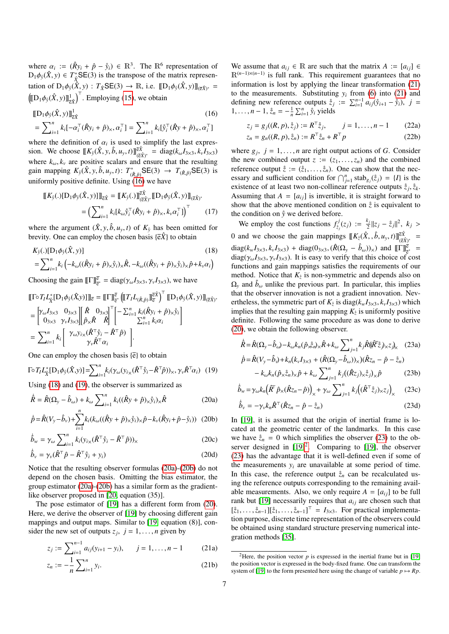where  $\alpha_i := (\hat{R}y_i + \hat{p} - \hat{y}_i) \in \mathbb{R}^3$ . The  $\mathbb{R}^6$  representation of  $D_1 A_2(\hat{X}, y) \in T^* S \mathbb{E}(3)$  is the transpose of the matrix represen- $D_1\phi_{\hat{y}}(\hat{X}, y) \in T^*_{\hat{X}}\mathsf{SE}(3)$  is the transpose of the matrix representation of  $D_1\phi_{\hat{y}}(\hat{X}, y)$ :  $T_{\hat{X}}$ SE(3)  $\rightarrow \mathbb{R}$ , i.e.  $[[D_1\phi_{\hat{y}}(\hat{X}, y)]]_{(\bar{\varepsilon}\hat{X})^*}$  =  $((\llbracket D_1 \phi_{\hat{y}}(\hat{X}, y)) \rrbracket_{\hat{z}\hat{X}}^1)^{\top}$ . Employing [\(15\)](#page-5-3), we obtain

$$
\begin{aligned} \llbracket D_1 \phi_{\hat{y}}(\hat{X}, y) \rrbracket_{\bar{z}\hat{X}}^1 & (16) \\ = \sum_{i=1}^n k_i [-\alpha_i^\top (\hat{R}y_i + \hat{p})_\times, \alpha_i^\top] = \sum_{i=1}^n k_i [\hat{y}_i^\top (\hat{R}y + \hat{p})_\times, \alpha_i^\top] \end{aligned}
$$

where the definition of  $\alpha_i$  is used to simplify the last expres-<br>sion. We choose  $\mathbb{E}K_s(\hat{X} \times \hat{h} u, t)\mathbb{E}(\hat{X} = \text{diag}(k, L_0, k, L_0))$ sion. We choose  $[[K_{\hat{y}}(\hat{X}, y, \hat{b}, u_y, t)]] \overline{c}\hat{X}^*$  = diag( $k_{\omega}I_{3\times3}, k_{\nu}I_{3\times3}$ ) where  $k_{\omega}$ ,  $k_{\nu}$  are positive scalars and ensure that the resulting gain mapping  $K_{\hat{y}}(\hat{X}, y, \hat{b}, u_y, t)$ :  $T^*_{(\hat{R}, \hat{p})} \mathsf{SE}(3) \to T_{(\hat{R}, \hat{p})} \mathsf{SE}(3)$  is<br>uniformly positive definite. Using (16) we have uniformly positive definite. Using  $(16)$  we have

$$
\begin{aligned} [\![K_{\hat{y}}(.)[\![\mathbf{D}_{1}\phi_{\hat{y}}(\hat{X},y)]]\!]_{\bar{\mathbf{c}}\hat{X}} &= [\![K_{\hat{y}}(.)\!]_{(\bar{\mathbf{c}}\hat{X})^{*}}^{\bar{\mathbf{c}}\hat{X}}[\![\mathbf{D}_{1}\phi_{\hat{y}}(\hat{X},y)]\!]_{(\bar{\mathbf{c}}\hat{X})^{*}}\\ &= \left(\sum_{i=1}^{n} k_{i}[k_{\omega}\hat{y}_{i}^{\top}(\hat{R}y_{i}+\hat{p})_{\times},k_{\nu}\alpha_{i}^{\top}]\right)^{\top} \end{aligned} \tag{17}
$$

where the argument  $(\hat{X}, y, \hat{b}, u_y, t)$  of  $K_{\hat{y}}$  has been omitted for brevity. One can employ the chosen basis  $\{\overline{e}\hat{X}\}$  to obtain

$$
K_{\hat{y}}(.)[\mathbf{D}_1 \phi_{\hat{y}}(\hat{X}, y)]
$$
\n
$$
= \sum_{i=1}^n k_i \left( -k_\omega((\hat{R}y_i + \hat{p})_\times \hat{y}_i)_\times \hat{R}, -k_\omega((\hat{R}y_i + \hat{p})_\times \hat{y}_i)_\times \hat{p} + k_\nu \alpha_i \right)
$$
\n(18)

Choosing the gain  $[\![\Gamma]\!]_{\mathfrak{E}^*}^{\overline{\mathfrak{E}}} = \text{diag}(\gamma_\omega I_{3\times 3}, \gamma_\nu I_{3\times 3})$ , we have

$$
\begin{split} &\left[\!\left[\Gamma^{\circ}T_{l}L_{\hat{\chi}}^{*}\!\left[D_{1}\phi_{\hat{y}}(\hat{X}_{,y})\right]\right]\right]_{\overline{e}}=\left[\!\left[\Gamma\right]\!\right]_{\overline{e}}^{\overline{e}}\left(\!\left[\!\left(T_{l}L_{(\hat{R},\hat{p})}\right]\!\right]_{\overline{e}}^{\overline{e}\hat{X}}\right)^{\top}\left[\!\left[D_{1}\phi_{\hat{y}}(\hat{X},y)\right]\!\right]_{(\overline{e}\hat{X})^{*}}\\ &=\begin{bmatrix} \gamma_{\omega}I_{3\times 3} & 0_{3\times 3} \\ 0_{3\times 3} & \gamma_{\nu}I_{3\times 3} \end{bmatrix}\begin{bmatrix} \hat{R} & 0_{3\times 3} \\ \hat{P}_{\times}\hat{R} & \hat{R} \end{bmatrix}^{\top}\begin{bmatrix} -\sum_{i=1}^{n}k_{i}(\hat{R}y_{i}+\hat{p})_{\times}\hat{y}_{i} \\ \sum_{i=1}^{n}k_{i}\alpha_{i} \end{bmatrix}\\ &=\sum_{i=1}^{n}k_{i}\begin{bmatrix} \gamma_{\omega}y_{i\times}(\hat{R}^{\top}\hat{y}_{i}-\hat{R}^{\top}\hat{p}) \\ \gamma_{\nu}\hat{R}^{\top}\alpha_{i} \end{bmatrix}.\end{split}
$$

One can employ the chosen basis  $\{\overline{e}\}\$  to obtain

$$
\Gamma \circ T_I L_{\hat{X}}^* [\mathbf{D}_1 \phi_{\hat{y}}(\hat{X}, y)] = \sum_{i=1}^n k_i (\gamma_\omega(y_{i \times} (\hat{R}^\top \hat{y}_i - \hat{R}^\top \hat{p}))_{\times}, \gamma_\nu \hat{R}^\top \alpha_i) \tag{19}
$$

Using [\(18\)](#page-6-1) and [\(19\)](#page-6-2), the observer is summarized as

$$
\dot{\hat{R}} = \hat{R}(\Omega_y - \hat{b}_\omega) + k_\omega \sum_{i=1}^n k_i ((\hat{R}y + \hat{p})_\times \hat{y}_i)_\times \hat{R}
$$
 (20a)

$$
\dot{\hat{p}} = \hat{R}(V_{y} - \hat{b}_{y}) + \sum_{i=1}^{n} k_{i} (k_{\omega} ((\hat{R}y + \hat{p})_{x} \hat{y}_{i})_{x} \hat{p} - k_{y} (\hat{R}y_{i} + \hat{p} - \hat{y}_{i}))
$$
 (20b)

$$
\dot{\hat{b}}_w = \gamma_\omega \sum_{i=1}^n k_i (y_{i \times} (\hat{R}^\top \hat{y}_i - \hat{R}^\top \hat{p}))_\times
$$
 (20c)

$$
\dot{\hat{b}}_{\nu} = \gamma_{\nu} (\hat{R}^{\top} \hat{p} - \hat{R}^{\top} \hat{y}_i + y_i)
$$
 (20d)

Notice that the resulting observer formulas [\(20a\)](#page-6-3)-[\(20b\)](#page-6-4) do not depend on the chosen basis. Omitting the bias estimator, the group estimator [\(20a\)](#page-6-3)-[\(20b\)](#page-6-4) has a similar form as the gradientlike observer proposed in [\[20,](#page-7-18) equation (35)].

The pose estimator of [\[19\]](#page-7-17) has a different form from [\(20\)](#page-6-5). Here, we derive the observer of [\[19\]](#page-7-17) by choosing different gain mappings and output maps. Similar to [\[19,](#page-7-17) equation (8)], consider the new set of outputs  $z_j$ ,  $j = 1, ..., n$  given by

$$
z_j := \sum_{i=1}^{n-1} a_{ij}(y_{i+1} - y_i), \qquad j = 1, \dots, n-1 \tag{21a}
$$

$$
z_n := -\frac{1}{n} \sum_{i=1}^n y_i.
$$
 (21b)

We assume that  $a_{ij} \in \mathbb{R}$  are such that the matrix  $A := [a_{ij}] \in$ R(*n*−1)×(*n*−1) is full rank. This requirement guarantees that no information is lost by applying the linear transformation [\(21\)](#page-6-6) to the measurements. Substituting  $y_i$  from [\(6\)](#page-2-4) into [\(21\)](#page-6-6) and defining new reference outputs  $\dot{z}_j := \sum_{i=1}^{n-1} a_{ij}(\mathring{y}_{i+1} - \mathring{y}_i)$ ,  $j = 1, \ldots, n-1, \frac{3}{2}, \ldots, -1, \sum_{i=1}^{n} \sum_{i=1}^{n} a_{ij}(\mathring{y}_{i+1} - \mathring{y}_i)$ ,  $j = 1, \ldots, n-1, \frac{3}{2}, \ldots, -1, \sum_{i=1}^{n} a_{ij}(\mathring{y}_{i+1} - \mathring{y}_i)$ 1, ...,  $n - 1$ ,  $\zeta_n = -\frac{1}{n} \sum_{i=1}^n \hat{y}_i$  yields

<span id="page-6-0"></span>
$$
z_j = g_j((R, p), \zeta_j) := R^{\top} \zeta_j, \qquad j = 1, \dots, n-1 \tag{22a}
$$

$$
z_n = g_n((R, p), \hat{z}_n) := R^{\top} \hat{z}_n + R^{\top} p \tag{22b}
$$

where  $g_j$ ,  $j = 1, ..., n$  are right output actions of *G*. Consider the new combined output  $z := (z_1, ..., z_n)$  and the combined the new combined output  $z := (z_1, \ldots, z_n)$  and the combined reference output  $\hat{z} := (\hat{z}_1, \dots, \hat{z}_n)$ . One can show that the necessary and sufficient condition for  $\bigcap_{j=1}^{n}$  stab<sub>g<sub>*j*</sub></sub>( $\dot{z}_j$ ) = {*I*} is the existence of at least two non-collinear reference outputs  $\dot{z}_j$ ,  $\dot{z}_k$ .<br>Assuming that  $A = [a \cdot]$  is invertible, it is straight forward to Assuming that  $A = [a_{ij}]$  is invertible, it is straight forward to show that the above mentioned condition on  $\hat{z}$  is equivalent to the condition on  $\hat{y}$  we derived before.

<span id="page-6-1"></span>We employ the cost functions  $f^j_{\xi}$  $z_j^{i}(z_j) := \frac{k_j}{2}$  $\frac{k_j}{2}$ || $z_j - \hat{z}_j$ ||<sup>2</sup>,  $k_j >$ 0 and we choose the gain mappings  $[[K_{\xi}(\hat{X}, \hat{b}, u_y, t)]]_{(\hat{\xi}\hat{X})^*}^{(\hat{\xi})}$  $diag(k_w I_{3\times3}, k_v I_{3\times3})$  +  $diag(0_{3\times3}, (\hat{R}(\Omega_y - \hat{b}_\omega))_\times)$  and  $[\Gamma]\frac{\bar{e}_\ast}{\bar{e}_\omega}$  = diag( $\alpha, I_{\alpha} \in \mathcal{X}$ ,  $I_{\alpha} \in \mathcal{Y}$ ,  $I_{\alpha}$ ). It is easy to verify that this choice of cost  $diag(\gamma_{\omega}I_{3\times3}, \gamma_{\nu}I_{3\times3})$ . It is easy to verify that this choice of cost functions and gain mappings satisfies the requirements of our method. Notice that  $K_{\zeta}$  is non-symmetric and depends also on  $\Omega_y$  and  $\hat{b}_\omega$  unlike the previous part. In particular, this implies that the observer innovation is not a gradient innovation. Nevertheless, the symmetric part of  $K_{\xi}$  is diag( $k_{w}I_{3\times3}$ ,  $k_{v}I_{3\times3}$ ) which implies that the resulting gain manning  $K_{\xi}$  is uniformly positive implies that the resulting gain mapping  $K_{\xi}$  is uniformly positive definite. Following the same procedure as was done to derive [\(20\)](#page-6-5), we obtain the following observer.

<span id="page-6-7"></span>
$$
\dot{\hat{R}} = \hat{R}(\Omega_y - \hat{b}_\omega) - k_\omega k_n (\hat{p}_{\times \hat{z}_n} + k_\omega \sum_{j=1}^n k_j \hat{R} (\hat{R}^\top \hat{z}_j)_{\times} z_j)_{\times}
$$
 (23a)

<span id="page-6-2"></span>
$$
\dot{\hat{p}} = \hat{R}(V_y - \hat{b}_y) + k_n(k_v I_{3 \times 3} + (\hat{R}(\Omega_y - \hat{b}_\omega))_\times)(\hat{R}z_n - \hat{p} - \hat{z}_n) \n- k_\omega k_n(\hat{p}_\times \hat{z}_n)_\times \hat{p} + k_\omega \sum_{j=1}^n k_j((\hat{R}z_j)_\times \hat{z}_j)_\times \hat{p}
$$
\n(23b)

<span id="page-6-5"></span><span id="page-6-3"></span>
$$
\hat{b}_w = \gamma_\omega k_n \left(\hat{R}^\top \hat{p}_\times (\hat{R}z_n - \hat{p})\right)_\times + \gamma_\omega \sum_{j=1}^n k_j \left((\hat{R}^\top \hat{z}_j)_\times z_j\right)_\times \tag{23c}
$$

$$
\dot{\hat{b}}_v = -\gamma_v k_n \hat{R}^\top (\hat{R}z_n - \hat{p} - \hat{z}_n)
$$
\n(23d)

<span id="page-6-4"></span>In [\[19\]](#page-7-17), it is assumed that the origin of inertial frame is located at the geometric center of the landmarks. In this case we have  $\dot{z}_n = 0$  which simplifies the observer [\(23\)](#page-6-7) to the observer designed in  $[19]^2$  $[19]^2$  $[19]^2$ . Comparing to  $[19]$ , the observer [\(23\)](#page-6-7) has the advantage that it is well-defined even if some of the measurements  $y_i$  are unavailable at some period of time. In this case, the reference output  $\hat{z}_n$  can be recalculated using the reference outputs corresponding to the remaining available measurements. Also, we only require  $A = [a_{ij}]$  to be full rank but [\[19\]](#page-7-17) necessarily requires that  $a_{ij}$  are chosen such that  $[\hat{z}_1, \ldots, \hat{z}_{n-1}][\hat{z}_1, \ldots, \hat{z}_{n-1}]^{\top} = I_{3 \times 3}$ . For practical implementa-<br>tion purpose discrete time representation of the observers could tion purpose, discrete time representation of the observers could be obtained using standard structure preserving numerical integration methods [\[35\]](#page-7-32).

<span id="page-6-8"></span><span id="page-6-6"></span><sup>&</sup>lt;sup>2</sup>Here, the position vector  $p$  is expressed in the inertial frame but in [\[19\]](#page-7-17) the position vector is expressed in the body-fixed frame. One can transform the system of [\[19\]](#page-7-17) to the form presented here using the change of variable  $p \mapsto Rp$ .